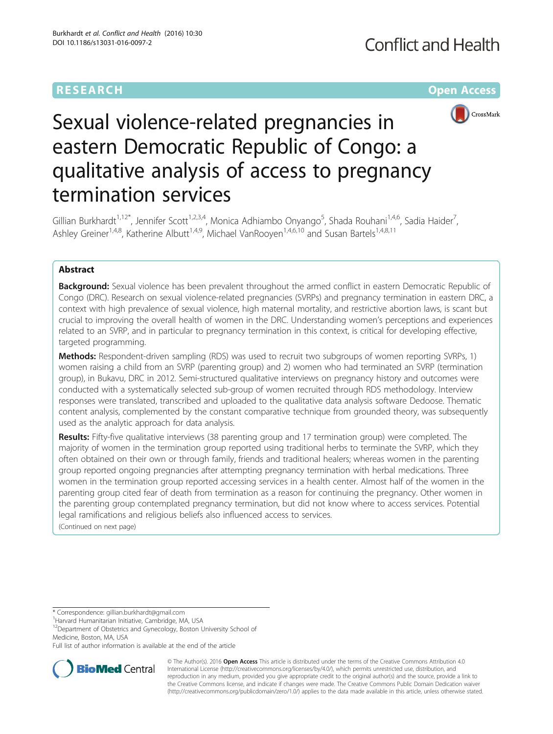## **RESEARCH CHE Open Access**



# Sexual violence-related pregnancies in eastern Democratic Republic of Congo: a qualitative analysis of access to pregnancy termination services

Gillian Burkhardt<sup>1,12\*</sup>, Jennifer Scott<sup>1,2,3,4</sup>, Monica Adhiambo Onyango<sup>5</sup>, Shada Rouhani<sup>1,4,6</sup>, Sadia Haider<sup>7</sup> , Ashley Greiner<sup>1,4,8</sup>, Katherine Albutt<sup>1,4,9</sup>, Michael VanRooyen<sup>1,4,6,10</sup> and Susan Bartels<sup>1,4,8,11</sup>

## Abstract

**Background:** Sexual violence has been prevalent throughout the armed conflict in eastern Democratic Republic of Congo (DRC). Research on sexual violence-related pregnancies (SVRPs) and pregnancy termination in eastern DRC, a context with high prevalence of sexual violence, high maternal mortality, and restrictive abortion laws, is scant but crucial to improving the overall health of women in the DRC. Understanding women's perceptions and experiences related to an SVRP, and in particular to pregnancy termination in this context, is critical for developing effective, targeted programming.

**Methods:** Respondent-driven sampling (RDS) was used to recruit two subgroups of women reporting SVRPs, 1) women raising a child from an SVRP (parenting group) and 2) women who had terminated an SVRP (termination group), in Bukavu, DRC in 2012. Semi-structured qualitative interviews on pregnancy history and outcomes were conducted with a systematically selected sub-group of women recruited through RDS methodology. Interview responses were translated, transcribed and uploaded to the qualitative data analysis software Dedoose. Thematic content analysis, complemented by the constant comparative technique from grounded theory, was subsequently used as the analytic approach for data analysis.

Results: Fifty-five qualitative interviews (38 parenting group and 17 termination group) were completed. The majority of women in the termination group reported using traditional herbs to terminate the SVRP, which they often obtained on their own or through family, friends and traditional healers; whereas women in the parenting group reported ongoing pregnancies after attempting pregnancy termination with herbal medications. Three women in the termination group reported accessing services in a health center. Almost half of the women in the parenting group cited fear of death from termination as a reason for continuing the pregnancy. Other women in the parenting group contemplated pregnancy termination, but did not know where to access services. Potential legal ramifications and religious beliefs also influenced access to services.

(Continued on next page)

\* Correspondence: [gillian.burkhardt@gmail.com](mailto:gillian.burkhardt@gmail.com) <sup>1</sup>

<sup>12</sup>Department of Obstetrics and Gynecology, Boston University School of Medicine, Boston, MA, USA

Full list of author information is available at the end of the article



© The Author(s). 2016 Open Access This article is distributed under the terms of the Creative Commons Attribution 4.0 International License [\(http://creativecommons.org/licenses/by/4.0/](http://creativecommons.org/licenses/by/4.0/)), which permits unrestricted use, distribution, and reproduction in any medium, provided you give appropriate credit to the original author(s) and the source, provide a link to the Creative Commons license, and indicate if changes were made. The Creative Commons Public Domain Dedication waiver [\(http://creativecommons.org/publicdomain/zero/1.0/](http://creativecommons.org/publicdomain/zero/1.0/)) applies to the data made available in this article, unless otherwise stated.

<sup>&</sup>lt;sup>1</sup>Harvard Humanitarian Initiative, Cambridge, MA, USA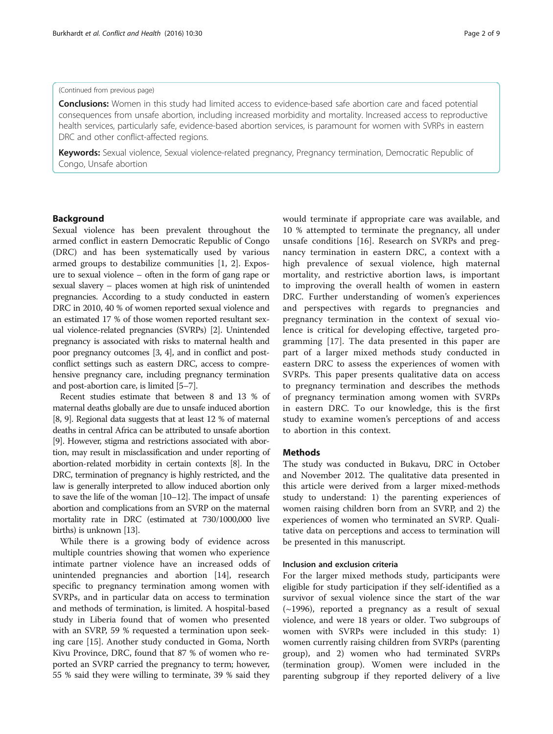#### (Continued from previous page)

**Conclusions:** Women in this study had limited access to evidence-based safe abortion care and faced potential consequences from unsafe abortion, including increased morbidity and mortality. Increased access to reproductive health services, particularly safe, evidence-based abortion services, is paramount for women with SVRPs in eastern DRC and other conflict-affected regions.

Keywords: Sexual violence, Sexual violence-related pregnancy, Pregnancy termination, Democratic Republic of Congo, Unsafe abortion

#### Background

Sexual violence has been prevalent throughout the armed conflict in eastern Democratic Republic of Congo (DRC) and has been systematically used by various armed groups to destabilize communities [[1, 2\]](#page-7-0). Exposure to sexual violence – often in the form of gang rape or sexual slavery – places women at high risk of unintended pregnancies. According to a study conducted in eastern DRC in 2010, 40 % of women reported sexual violence and an estimated 17 % of those women reported resultant sexual violence-related pregnancies (SVRPs) [[2](#page-7-0)]. Unintended pregnancy is associated with risks to maternal health and poor pregnancy outcomes [\[3](#page-7-0), [4](#page-7-0)], and in conflict and postconflict settings such as eastern DRC, access to comprehensive pregnancy care, including pregnancy termination and post-abortion care, is limited [[5](#page-7-0)–[7\]](#page-7-0).

Recent studies estimate that between 8 and 13 % of maternal deaths globally are due to unsafe induced abortion [[8](#page-8-0), [9](#page-8-0)]. Regional data suggests that at least 12 % of maternal deaths in central Africa can be attributed to unsafe abortion [[9](#page-8-0)]. However, stigma and restrictions associated with abortion, may result in misclassification and under reporting of abortion-related morbidity in certain contexts [\[8\]](#page-8-0). In the DRC, termination of pregnancy is highly restricted, and the law is generally interpreted to allow induced abortion only to save the life of the woman [\[10](#page-8-0)–[12\]](#page-8-0). The impact of unsafe abortion and complications from an SVRP on the maternal mortality rate in DRC (estimated at 730/1000,000 live births) is unknown [\[13\]](#page-8-0).

While there is a growing body of evidence across multiple countries showing that women who experience intimate partner violence have an increased odds of unintended pregnancies and abortion [[14\]](#page-8-0), research specific to pregnancy termination among women with SVRPs, and in particular data on access to termination and methods of termination, is limited. A hospital-based study in Liberia found that of women who presented with an SVRP, 59 % requested a termination upon seeking care [\[15](#page-8-0)]. Another study conducted in Goma, North Kivu Province, DRC, found that 87 % of women who reported an SVRP carried the pregnancy to term; however, 55 % said they were willing to terminate, 39 % said they

would terminate if appropriate care was available, and 10 % attempted to terminate the pregnancy, all under unsafe conditions [[16\]](#page-8-0). Research on SVRPs and pregnancy termination in eastern DRC, a context with a high prevalence of sexual violence, high maternal mortality, and restrictive abortion laws, is important to improving the overall health of women in eastern DRC. Further understanding of women's experiences and perspectives with regards to pregnancies and pregnancy termination in the context of sexual violence is critical for developing effective, targeted programming [\[17](#page-8-0)]. The data presented in this paper are part of a larger mixed methods study conducted in eastern DRC to assess the experiences of women with SVRPs. This paper presents qualitative data on access to pregnancy termination and describes the methods of pregnancy termination among women with SVRPs in eastern DRC. To our knowledge, this is the first study to examine women's perceptions of and access to abortion in this context.

## **Methods**

The study was conducted in Bukavu, DRC in October and November 2012. The qualitative data presented in this article were derived from a larger mixed-methods study to understand: 1) the parenting experiences of women raising children born from an SVRP, and 2) the experiences of women who terminated an SVRP. Qualitative data on perceptions and access to termination will be presented in this manuscript.

#### Inclusion and exclusion criteria

For the larger mixed methods study, participants were eligible for study participation if they self-identified as a survivor of sexual violence since the start of the war (~1996), reported a pregnancy as a result of sexual violence, and were 18 years or older. Two subgroups of women with SVRPs were included in this study: 1) women currently raising children from SVRPs (parenting group), and 2) women who had terminated SVRPs (termination group). Women were included in the parenting subgroup if they reported delivery of a live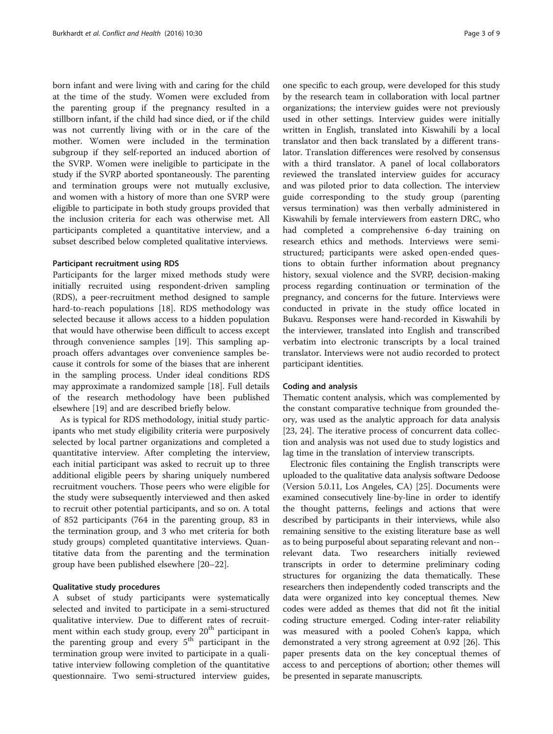born infant and were living with and caring for the child at the time of the study. Women were excluded from the parenting group if the pregnancy resulted in a stillborn infant, if the child had since died, or if the child was not currently living with or in the care of the mother. Women were included in the termination subgroup if they self-reported an induced abortion of the SVRP. Women were ineligible to participate in the study if the SVRP aborted spontaneously. The parenting and termination groups were not mutually exclusive, and women with a history of more than one SVRP were eligible to participate in both study groups provided that the inclusion criteria for each was otherwise met. All participants completed a quantitative interview, and a subset described below completed qualitative interviews.

#### Participant recruitment using RDS

Participants for the larger mixed methods study were initially recruited using respondent-driven sampling (RDS), a peer-recruitment method designed to sample hard-to-reach populations [[18\]](#page-8-0). RDS methodology was selected because it allows access to a hidden population that would have otherwise been difficult to access except through convenience samples [\[19](#page-8-0)]. This sampling approach offers advantages over convenience samples because it controls for some of the biases that are inherent in the sampling process. Under ideal conditions RDS may approximate a randomized sample [[18\]](#page-8-0). Full details of the research methodology have been published elsewhere [[19](#page-8-0)] and are described briefly below.

As is typical for RDS methodology, initial study participants who met study eligibility criteria were purposively selected by local partner organizations and completed a quantitative interview. After completing the interview, each initial participant was asked to recruit up to three additional eligible peers by sharing uniquely numbered recruitment vouchers. Those peers who were eligible for the study were subsequently interviewed and then asked to recruit other potential participants, and so on. A total of 852 participants (764 in the parenting group, 83 in the termination group, and 3 who met criteria for both study groups) completed quantitative interviews. Quantitative data from the parenting and the termination group have been published elsewhere [[20](#page-8-0)–[22](#page-8-0)].

## Qualitative study procedures

A subset of study participants were systematically selected and invited to participate in a semi-structured qualitative interview. Due to different rates of recruitment within each study group, every 20<sup>th</sup> participant in the parenting group and every  $5<sup>th</sup>$  participant in the termination group were invited to participate in a qualitative interview following completion of the quantitative questionnaire. Two semi-structured interview guides,

one specific to each group, were developed for this study by the research team in collaboration with local partner organizations; the interview guides were not previously used in other settings. Interview guides were initially written in English, translated into Kiswahili by a local translator and then back translated by a different translator. Translation differences were resolved by consensus with a third translator. A panel of local collaborators reviewed the translated interview guides for accuracy and was piloted prior to data collection. The interview guide corresponding to the study group (parenting versus termination) was then verbally administered in Kiswahili by female interviewers from eastern DRC, who had completed a comprehensive 6-day training on research ethics and methods. Interviews were semistructured; participants were asked open-ended questions to obtain further information about pregnancy history, sexual violence and the SVRP, decision-making process regarding continuation or termination of the pregnancy, and concerns for the future. Interviews were conducted in private in the study office located in Bukavu. Responses were hand-recorded in Kiswahili by the interviewer, translated into English and transcribed verbatim into electronic transcripts by a local trained translator. Interviews were not audio recorded to protect participant identities.

#### Coding and analysis

Thematic content analysis, which was complemented by the constant comparative technique from grounded theory, was used as the analytic approach for data analysis [[23, 24](#page-8-0)]. The iterative process of concurrent data collection and analysis was not used due to study logistics and lag time in the translation of interview transcripts.

Electronic files containing the English transcripts were uploaded to the qualitative data analysis software Dedoose (Version 5.0.11, Los Angeles, CA) [\[25\]](#page-8-0). Documents were examined consecutively line-by-line in order to identify the thought patterns, feelings and actions that were described by participants in their interviews, while also remaining sensitive to the existing literature base as well as to being purposeful about separating relevant and non- relevant data. Two researchers initially reviewed transcripts in order to determine preliminary coding structures for organizing the data thematically. These researchers then independently coded transcripts and the data were organized into key conceptual themes. New codes were added as themes that did not fit the initial coding structure emerged. Coding inter-rater reliability was measured with a pooled Cohen's kappa, which demonstrated a very strong agreement at 0.92 [\[26\]](#page-8-0). This paper presents data on the key conceptual themes of access to and perceptions of abortion; other themes will be presented in separate manuscripts.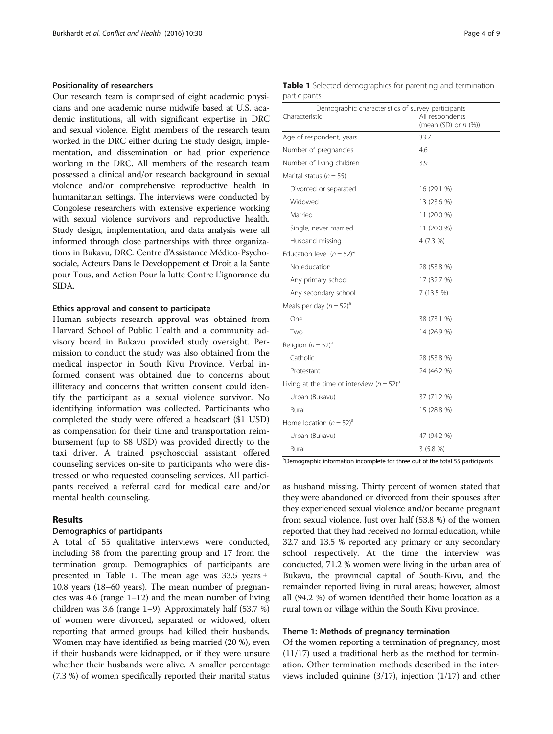## Positionality of researchers

Our research team is comprised of eight academic physicians and one academic nurse midwife based at U.S. academic institutions, all with significant expertise in DRC and sexual violence. Eight members of the research team worked in the DRC either during the study design, implementation, and dissemination or had prior experience working in the DRC. All members of the research team possessed a clinical and/or research background in sexual violence and/or comprehensive reproductive health in humanitarian settings. The interviews were conducted by Congolese researchers with extensive experience working with sexual violence survivors and reproductive health. Study design, implementation, and data analysis were all informed through close partnerships with three organizations in Bukavu, DRC: Centre d'Assistance Médico-Psychosociale, Acteurs Dans le Developpement et Droit a la Sante pour Tous, and Action Pour la lutte Contre L'ignorance du SIDA.

## Ethics approval and consent to participate

Human subjects research approval was obtained from Harvard School of Public Health and a community advisory board in Bukavu provided study oversight. Permission to conduct the study was also obtained from the medical inspector in South Kivu Province. Verbal informed consent was obtained due to concerns about illiteracy and concerns that written consent could identify the participant as a sexual violence survivor. No identifying information was collected. Participants who completed the study were offered a headscarf (\$1 USD) as compensation for their time and transportation reimbursement (up to \$8 USD) was provided directly to the taxi driver. A trained psychosocial assistant offered counseling services on-site to participants who were distressed or who requested counseling services. All participants received a referral card for medical care and/or mental health counseling.

## Results

## Demographics of participants

A total of 55 qualitative interviews were conducted, including 38 from the parenting group and 17 from the termination group. Demographics of participants are presented in Table 1. The mean age was 33.5 years ± 10.8 years (18–60 years). The mean number of pregnancies was 4.6 (range  $1-12$ ) and the mean number of living children was 3.6 (range 1–9). Approximately half (53.7 %) of women were divorced, separated or widowed, often reporting that armed groups had killed their husbands. Women may have identified as being married (20 %), even if their husbands were kidnapped, or if they were unsure whether their husbands were alive. A smaller percentage (7.3 %) of women specifically reported their marital status

|              |  | <b>Table 1</b> Selected demographics for parenting and termination |  |  |
|--------------|--|--------------------------------------------------------------------|--|--|
| participants |  |                                                                    |  |  |

| Demographic characteristics of survey participants<br>Characteristic | All respondents<br>(mean (SD) or $n$ (%)) |  |  |
|----------------------------------------------------------------------|-------------------------------------------|--|--|
| Age of respondent, years                                             | 33.7                                      |  |  |
| Number of pregnancies                                                | 4.6                                       |  |  |
| Number of living children                                            | 3.9                                       |  |  |
| Marital status ( $n = 55$ )                                          |                                           |  |  |
| Divorced or separated                                                | 16 (29.1 %)                               |  |  |
| Widowed                                                              | 13 (23.6 %)                               |  |  |
| Married                                                              | 11 (20.0 %)                               |  |  |
| Single, never married                                                | 11 (20.0 %)                               |  |  |
| Husband missing                                                      | 4 (7.3 %)                                 |  |  |
| Education level ( $n = 52$ )*                                        |                                           |  |  |
| No education                                                         | 28 (53.8 %)                               |  |  |
| Any primary school                                                   | 17 (32.7 %)                               |  |  |
| Any secondary school                                                 | 7 (13.5 %)                                |  |  |
| Meals per day $(n = 52)^a$                                           |                                           |  |  |
| One                                                                  | 38 (73.1 %)                               |  |  |
| Two                                                                  | 14 (26.9 %)                               |  |  |
| Religion ( $n = 52$ ) <sup>a</sup>                                   |                                           |  |  |
| Catholic                                                             | 28 (53.8 %)                               |  |  |
| Protestant                                                           | 24 (46.2 %)                               |  |  |
| Living at the time of interview $(n = 52)^a$                         |                                           |  |  |
| Urban (Bukavu)                                                       | 37 (71.2 %)                               |  |  |
| Rural                                                                | 15 (28.8 %)                               |  |  |
| Home location $(n = 52)^a$                                           |                                           |  |  |
| Urban (Bukavu)                                                       | 47 (94.2 %)                               |  |  |
| Rural                                                                | 3(5.8%)                                   |  |  |

<sup>a</sup>Demographic information incomplete for three out of the total 55 participants

as husband missing. Thirty percent of women stated that they were abandoned or divorced from their spouses after they experienced sexual violence and/or became pregnant from sexual violence. Just over half (53.8 %) of the women reported that they had received no formal education, while 32.7 and 13.5 % reported any primary or any secondary school respectively. At the time the interview was conducted, 71.2 % women were living in the urban area of Bukavu, the provincial capital of South-Kivu, and the remainder reported living in rural areas; however, almost all (94.2 %) of women identified their home location as a rural town or village within the South Kivu province.

## Theme 1: Methods of pregnancy termination

Of the women reporting a termination of pregnancy, most (11/17) used a traditional herb as the method for termination. Other termination methods described in the interviews included quinine (3/17), injection (1/17) and other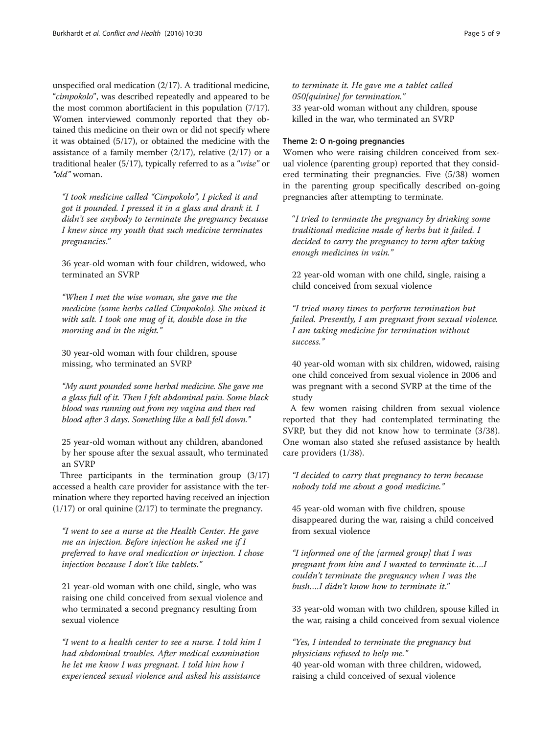unspecified oral medication (2/17). A traditional medicine, "cimpokolo", was described repeatedly and appeared to be the most common abortifacient in this population (7/17). Women interviewed commonly reported that they obtained this medicine on their own or did not specify where it was obtained (5/17), or obtained the medicine with the assistance of a family member  $(2/17)$ , relative  $(2/17)$  or a traditional healer (5/17), typically referred to as a "wise" or "old" woman.

"I took medicine called "Cimpokolo", I picked it and got it pounded. I pressed it in a glass and drank it. I didn't see anybody to terminate the pregnancy because I knew since my youth that such medicine terminates pregnancies."

36 year-old woman with four children, widowed, who terminated an SVRP

"When I met the wise woman, she gave me the medicine (some herbs called Cimpokolo). She mixed it with salt. I took one mug of it, double dose in the morning and in the night."

30 year-old woman with four children, spouse missing, who terminated an SVRP

"My aunt pounded some herbal medicine. She gave me a glass full of it. Then I felt abdominal pain. Some black blood was running out from my vagina and then red blood after 3 days. Something like a ball fell down."

25 year-old woman without any children, abandoned by her spouse after the sexual assault, who terminated an SVRP

Three participants in the termination group (3/17) accessed a health care provider for assistance with the termination where they reported having received an injection (1/17) or oral quinine (2/17) to terminate the pregnancy.

"I went to see a nurse at the Health Center. He gave me an injection. Before injection he asked me if I preferred to have oral medication or injection. I chose injection because I don't like tablets."

21 year-old woman with one child, single, who was raising one child conceived from sexual violence and who terminated a second pregnancy resulting from sexual violence

"I went to a health center to see a nurse. I told him I had abdominal troubles. After medical examination he let me know I was pregnant. I told him how I experienced sexual violence and asked his assistance to terminate it. He gave me a tablet called 050[quinine] for termination." 33 year-old woman without any children, spouse killed in the war, who terminated an SVRP

Theme 2: O n-going pregnancies

Women who were raising children conceived from sexual violence (parenting group) reported that they considered terminating their pregnancies. Five (5/38) women in the parenting group specifically described on-going pregnancies after attempting to terminate.

"I tried to terminate the pregnancy by drinking some traditional medicine made of herbs but it failed. I decided to carry the pregnancy to term after taking enough medicines in vain."

22 year-old woman with one child, single, raising a child conceived from sexual violence

"I tried many times to perform termination but failed. Presently, I am pregnant from sexual violence. I am taking medicine for termination without success."

40 year-old woman with six children, widowed, raising one child conceived from sexual violence in 2006 and was pregnant with a second SVRP at the time of the study

A few women raising children from sexual violence reported that they had contemplated terminating the SVRP, but they did not know how to terminate (3/38). One woman also stated she refused assistance by health care providers (1/38).

"I decided to carry that pregnancy to term because nobody told me about a good medicine."

45 year-old woman with five children, spouse disappeared during the war, raising a child conceived from sexual violence

"I informed one of the [armed group] that I was pregnant from him and I wanted to terminate it….I couldn't terminate the pregnancy when I was the bush….I didn't know how to terminate it."

33 year-old woman with two children, spouse killed in the war, raising a child conceived from sexual violence

"Yes, I intended to terminate the pregnancy but physicians refused to help me." 40 year-old woman with three children, widowed,

raising a child conceived of sexual violence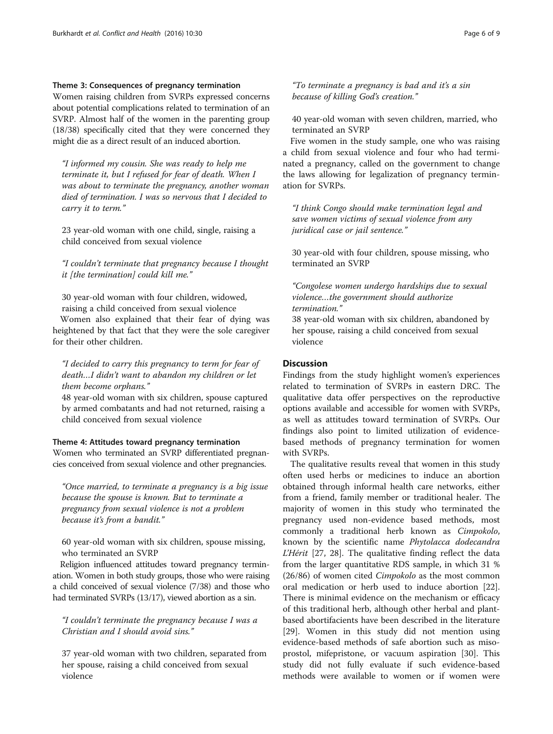## Theme 3: Consequences of pregnancy termination

Women raising children from SVRPs expressed concerns about potential complications related to termination of an SVRP. Almost half of the women in the parenting group (18/38) specifically cited that they were concerned they might die as a direct result of an induced abortion.

"I informed my cousin. She was ready to help me terminate it, but I refused for fear of death. When I was about to terminate the pregnancy, another woman died of termination. I was so nervous that I decided to carry it to term."

23 year-old woman with one child, single, raising a child conceived from sexual violence

"I couldn't terminate that pregnancy because I thought it [the termination] could kill me."

30 year-old woman with four children, widowed, raising a child conceived from sexual violence Women also explained that their fear of dying was heightened by that fact that they were the sole caregiver for their other children.

"I decided to carry this pregnancy to term for fear of death…I didn't want to abandon my children or let them become orphans."

48 year-old woman with six children, spouse captured by armed combatants and had not returned, raising a child conceived from sexual violence

## Theme 4: Attitudes toward pregnancy termination

Women who terminated an SVRP differentiated pregnancies conceived from sexual violence and other pregnancies.

"Once married, to terminate a pregnancy is a big issue because the spouse is known. But to terminate a pregnancy from sexual violence is not a problem because it's from a bandit."

60 year-old woman with six children, spouse missing, who terminated an SVRP

Religion influenced attitudes toward pregnancy termination. Women in both study groups, those who were raising a child conceived of sexual violence (7/38) and those who had terminated SVRPs (13/17), viewed abortion as a sin.

"I couldn't terminate the pregnancy because I was a Christian and I should avoid sins."

37 year-old woman with two children, separated from her spouse, raising a child conceived from sexual violence

"To terminate a pregnancy is bad and it's a sin because of killing God's creation."

40 year-old woman with seven children, married, who terminated an SVRP

Five women in the study sample, one who was raising a child from sexual violence and four who had terminated a pregnancy, called on the government to change the laws allowing for legalization of pregnancy termination for SVRPs.

"I think Congo should make termination legal and save women victims of sexual violence from any juridical case or jail sentence."

30 year-old with four children, spouse missing, who terminated an SVRP

"Congolese women undergo hardships due to sexual violence…the government should authorize termination."

38 year-old woman with six children, abandoned by her spouse, raising a child conceived from sexual violence

## **Discussion**

Findings from the study highlight women's experiences related to termination of SVRPs in eastern DRC. The qualitative data offer perspectives on the reproductive options available and accessible for women with SVRPs, as well as attitudes toward termination of SVRPs. Our findings also point to limited utilization of evidencebased methods of pregnancy termination for women with SVRPs.

The qualitative results reveal that women in this study often used herbs or medicines to induce an abortion obtained through informal health care networks, either from a friend, family member or traditional healer. The majority of women in this study who terminated the pregnancy used non-evidence based methods, most commonly a traditional herb known as Cimpokolo, known by the scientific name Phytolacca dodecandra L'Hérit [\[27, 28](#page-8-0)]. The qualitative finding reflect the data from the larger quantitative RDS sample, in which 31 % (26/86) of women cited Cimpokolo as the most common oral medication or herb used to induce abortion [\[22](#page-8-0)]. There is minimal evidence on the mechanism or efficacy of this traditional herb, although other herbal and plantbased abortifacients have been described in the literature [[29\]](#page-8-0). Women in this study did not mention using evidence-based methods of safe abortion such as misoprostol, mifepristone, or vacuum aspiration [\[30\]](#page-8-0). This study did not fully evaluate if such evidence-based methods were available to women or if women were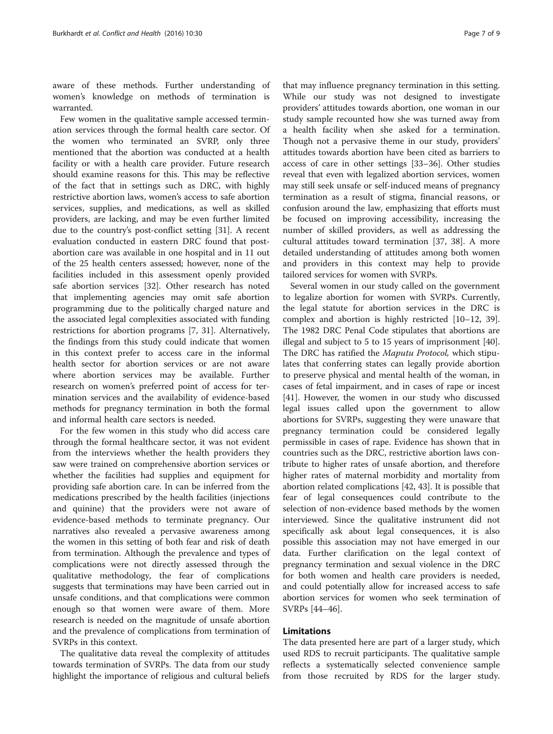aware of these methods. Further understanding of women's knowledge on methods of termination is warranted.

Few women in the qualitative sample accessed termination services through the formal health care sector. Of the women who terminated an SVRP, only three mentioned that the abortion was conducted at a health facility or with a health care provider. Future research should examine reasons for this. This may be reflective of the fact that in settings such as DRC, with highly restrictive abortion laws, women's access to safe abortion services, supplies, and medications, as well as skilled providers, are lacking, and may be even further limited due to the country's post-conflict setting [[31\]](#page-8-0). A recent evaluation conducted in eastern DRC found that postabortion care was available in one hospital and in 11 out of the 25 health centers assessed; however, none of the facilities included in this assessment openly provided safe abortion services [\[32\]](#page-8-0). Other research has noted that implementing agencies may omit safe abortion programming due to the politically charged nature and the associated legal complexities associated with funding restrictions for abortion programs [\[7](#page-7-0), [31\]](#page-8-0). Alternatively, the findings from this study could indicate that women in this context prefer to access care in the informal health sector for abortion services or are not aware where abortion services may be available. Further research on women's preferred point of access for termination services and the availability of evidence-based methods for pregnancy termination in both the formal and informal health care sectors is needed.

For the few women in this study who did access care through the formal healthcare sector, it was not evident from the interviews whether the health providers they saw were trained on comprehensive abortion services or whether the facilities had supplies and equipment for providing safe abortion care. In can be inferred from the medications prescribed by the health facilities (injections and quinine) that the providers were not aware of evidence-based methods to terminate pregnancy. Our narratives also revealed a pervasive awareness among the women in this setting of both fear and risk of death from termination. Although the prevalence and types of complications were not directly assessed through the qualitative methodology, the fear of complications suggests that terminations may have been carried out in unsafe conditions, and that complications were common enough so that women were aware of them. More research is needed on the magnitude of unsafe abortion and the prevalence of complications from termination of SVRPs in this context.

The qualitative data reveal the complexity of attitudes towards termination of SVRPs. The data from our study highlight the importance of religious and cultural beliefs

that may influence pregnancy termination in this setting. While our study was not designed to investigate providers' attitudes towards abortion, one woman in our study sample recounted how she was turned away from a health facility when she asked for a termination. Though not a pervasive theme in our study, providers' attitudes towards abortion have been cited as barriers to access of care in other settings [\[33](#page-8-0)–[36\]](#page-8-0). Other studies reveal that even with legalized abortion services, women may still seek unsafe or self-induced means of pregnancy termination as a result of stigma, financial reasons, or confusion around the law, emphasizing that efforts must be focused on improving accessibility, increasing the number of skilled providers, as well as addressing the cultural attitudes toward termination [\[37](#page-8-0), [38\]](#page-8-0). A more detailed understanding of attitudes among both women and providers in this context may help to provide tailored services for women with SVRPs.

Several women in our study called on the government to legalize abortion for women with SVRPs. Currently, the legal statute for abortion services in the DRC is complex and abortion is highly restricted [[10](#page-8-0)–[12](#page-8-0), [39](#page-8-0)]. The 1982 DRC Penal Code stipulates that abortions are illegal and subject to 5 to 15 years of imprisonment [\[40](#page-8-0)]. The DRC has ratified the Maputu Protocol, which stipulates that conferring states can legally provide abortion to preserve physical and mental health of the woman, in cases of fetal impairment, and in cases of rape or incest [[41\]](#page-8-0). However, the women in our study who discussed legal issues called upon the government to allow abortions for SVRPs, suggesting they were unaware that pregnancy termination could be considered legally permissible in cases of rape. Evidence has shown that in countries such as the DRC, restrictive abortion laws contribute to higher rates of unsafe abortion, and therefore higher rates of maternal morbidity and mortality from abortion related complications [[42, 43](#page-8-0)]. It is possible that fear of legal consequences could contribute to the selection of non-evidence based methods by the women interviewed. Since the qualitative instrument did not specifically ask about legal consequences, it is also possible this association may not have emerged in our data. Further clarification on the legal context of pregnancy termination and sexual violence in the DRC for both women and health care providers is needed, and could potentially allow for increased access to safe abortion services for women who seek termination of SVRPs [[44](#page-8-0)–[46](#page-8-0)].

## Limitations

The data presented here are part of a larger study, which used RDS to recruit participants. The qualitative sample reflects a systematically selected convenience sample from those recruited by RDS for the larger study.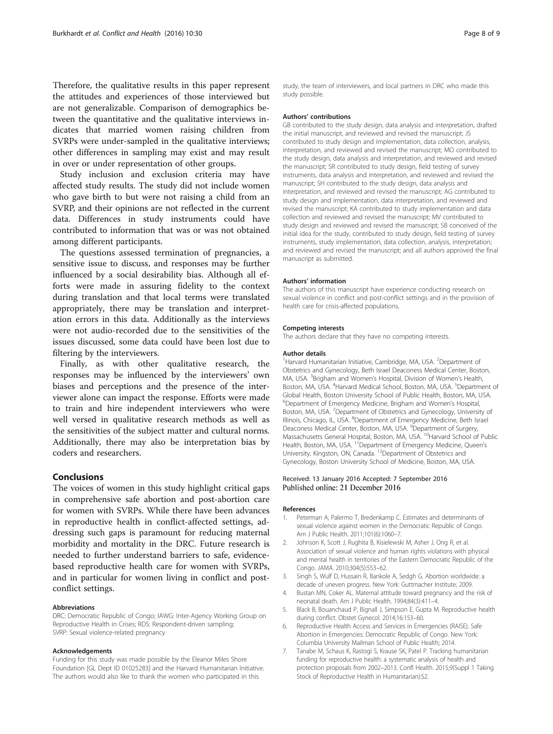<span id="page-7-0"></span>Therefore, the qualitative results in this paper represent the attitudes and experiences of those interviewed but are not generalizable. Comparison of demographics between the quantitative and the qualitative interviews indicates that married women raising children from SVRPs were under-sampled in the qualitative interviews; other differences in sampling may exist and may result in over or under representation of other groups.

Study inclusion and exclusion criteria may have affected study results. The study did not include women who gave birth to but were not raising a child from an SVRP, and their opinions are not reflected in the current data. Differences in study instruments could have contributed to information that was or was not obtained among different participants.

The questions assessed termination of pregnancies, a sensitive issue to discuss, and responses may be further influenced by a social desirability bias. Although all efforts were made in assuring fidelity to the context during translation and that local terms were translated appropriately, there may be translation and interpretation errors in this data. Additionally as the interviews were not audio-recorded due to the sensitivities of the issues discussed, some data could have been lost due to filtering by the interviewers.

Finally, as with other qualitative research, the responses may be influenced by the interviewers' own biases and perceptions and the presence of the interviewer alone can impact the response. Efforts were made to train and hire independent interviewers who were well versed in qualitative research methods as well as the sensitivities of the subject matter and cultural norms. Additionally, there may also be interpretation bias by coders and researchers.

### Conclusions

The voices of women in this study highlight critical gaps in comprehensive safe abortion and post-abortion care for women with SVRPs. While there have been advances in reproductive health in conflict-affected settings, addressing such gaps is paramount for reducing maternal morbidity and mortality in the DRC. Future research is needed to further understand barriers to safe, evidencebased reproductive health care for women with SVRPs, and in particular for women living in conflict and postconflict settings.

#### Abbreviations

DRC: Democratic Republic of Congo; IAWG: Inter-Agency Working Group on Reproductive Health in Crises; RDS: Respondent-driven sampling; SVRP: Sexual violence-related pregnancy

#### Acknowledgements

Funding for this study was made possible by the Eleanor Miles Shore Foundation [GL Dept ID 01025283] and the Harvard Humanitarian Initiative. The authors would also like to thank the women who participated in this

study, the team of interviewers, and local partners in DRC who made this study possible.

#### Authors' contributions

GB contributed to the study design, data analysis and interpretation, drafted the initial manuscript, and reviewed and revised the manuscript; JS contributed to study design and implementation, data collection, analysis, interpretation, and reviewed and revised the manuscript; MO contributed to the study design, data analysis and interpretation, and reviewed and revised the manuscript; SR contributed to study design, field testing of survey instruments, data analysis and interpretation, and reviewed and revised the manuscript; SH contributed to the study design, data analysis and interpretation, and reviewed and revised the manuscript; AG contributed to study design and implementation, data interpretation, and reviewed and revised the manuscript; KA contributed to study implementation and data collection and reviewed and revised the manuscript; MV contributed to study design and reviewed and revised the manuscript; SB conceived of the initial idea for the study, contributed to study design, field testing of survey instruments, study implementation, data collection, analysis, interpretation; and reviewed and revised the manuscript; and all authors approved the final manuscript as submitted.

#### Authors' information

The authors of this manuscript have experience conducting research on sexual violence in conflict and post-conflict settings and in the provision of health care for crisis-affected populations.

#### Competing interests

The authors declare that they have no competing interests.

#### Author details

<sup>1</sup> Harvard Humanitarian Initiative, Cambridge, MA, USA. <sup>2</sup> Department of Obstetrics and Gynecology, Beth Israel Deaconess Medical Center, Boston, MA, USA. <sup>3</sup>Brigham and Women's Hospital, Division of Women's Health Boston, MA, USA. <sup>4</sup>Harvard Medical School, Boston, MA, USA. <sup>5</sup>Department of Global Health, Boston University School of Public Health, Boston, MA, USA. 6 Department of Emergency Medicine, Brigham and Women's Hospital, Boston, MA, USA. <sup>7</sup>Department of Obstetrics and Gynecology, University of Illinois, Chicago, IL, USA. <sup>8</sup>Department of Emergency Medicine, Beth Israel Deaconess Medical Center, Boston, MA, USA. <sup>9</sup>Department of Surgery Massachusetts General Hospital, Boston, MA, USA. <sup>10</sup>Harvard School of Public Health, Boston, MA, USA.<sup>11</sup>Department of Emergency Medicine, Queen's University, Kingston, ON, Canada. 12Department of Obstetrics and Gynecology, Boston University School of Medicine, Boston, MA, USA.

#### Received: 13 January 2016 Accepted: 7 September 2016 Published online: 21 December 2016

#### References

- Peterman A, Palermo T, Bredenkamp C. Estimates and determinants of sexual violence against women in the Democratic Republic of Congo. Am J Public Health. 2011;101(6):1060–7.
- Johnson K, Scott J, Rughita B, Kisielewski M, Asher J, Ong R, et al. Association of sexual violence and human rights violations with physical and mental health in territories of the Eastern Democratic Republic of the Congo. JAMA. 2010;304(5):553–62.
- 3. Singh S, Wulf D, Hussain R, Bankole A, Sedgh G. Abortion worldwide: a decade of uneven progress. New York: Guttmacher Institute; 2009.
- 4. Bustan MN, Coker AL. Maternal attitude toward pregnancy and the risk of neonatal death. Am J Public Health. 1994;84(3):411–4.
- 5. Black B, Bouanchaud P, Bignall J, Simpson E, Gupta M. Reproductive health during conflict. Obstet Gynecol. 2014;16:153–60.
- 6. Reproductive Health Access and Services in Emergencies (RAISE). Safe Abortion in Emergencies: Democratic Republic of Congo. New York: Columbia University Mailman School of Public Health; 2014.
- 7. Tanabe M, Schaus K, Rastogi S, Krause SK, Patel P. Tracking humanitarian funding for reproductive health: a systematic analysis of health and protection proposals from 2002–2013. Confl Health. 2015;9(Suppl 1 Taking Stock of Reproductive Health in Humanitarian):S2.